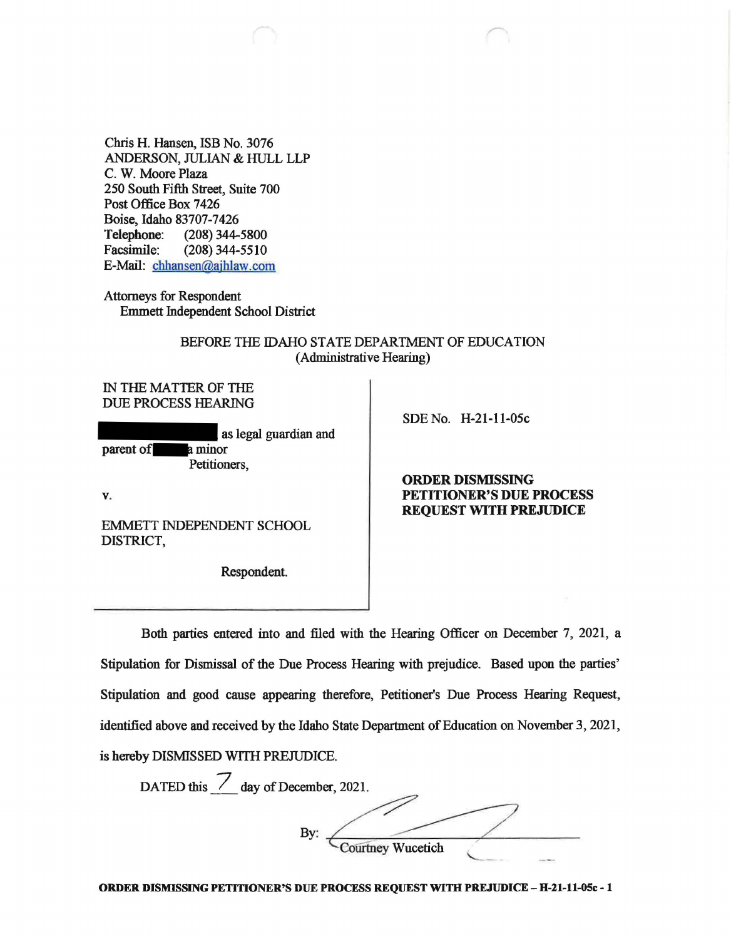Chris H. Hansen, ISB No. 3076 ANDERSON, JULIAN & HULL LLP C. W. Moore Plaza 250 South Fifth Street, Suite 700 Post Office Box 7426 Boise, Idaho 83707-7426 Telephone: (208) 344-5800 Facsimile: (208) 344-5510 E-Mail: [chhansen@ajbJaw.com](mailto:chhansen@ajbJaw.com)

Attorneys for Respondent Emmett Independent School District

## BEFORE THE IDAHO STATE DEPARTMENT OF EDUCATION (Administrative Hearing)

IN THE MATTER OF THE DUE PROCESS HEARING

as legal guardian and parent of a minor Petitioners,

SOE No. H-21-11-05c

**V.** 

EMMETT INDEPENDENT SCHOOL DISTRICT,

Respondent.

## **ORDER DISMISSING PETITIONER'S DUE PROCESS REQUEST WITH PREJUDICE**

Both parties entered into and filed with the Hearing Officer on December 7, 2021, a Stipulation for Dismissal of the Due Process Hearing with prejudice. Based upon the parties' Stipulation and good cause appearing therefore, Petitioner's Due Process Hearing Request, identified above and received by the Idaho State Department of Education on November 3, 2021, is hereby DISMISSED WITH PREJUDICE.

DATED this  $\angle$  day of December, 2021. Idaho State Department of Education on November<br>
DICE.<br>
ember, 2021.<br>
By: Courtney Wucetich **Courtney Wucetich** 

**ORDER DISMISSING PETITIONER'S DUE PROCESS REQUEST WITH PREJUDICE** - **H-21-11-0Sc** - **1**